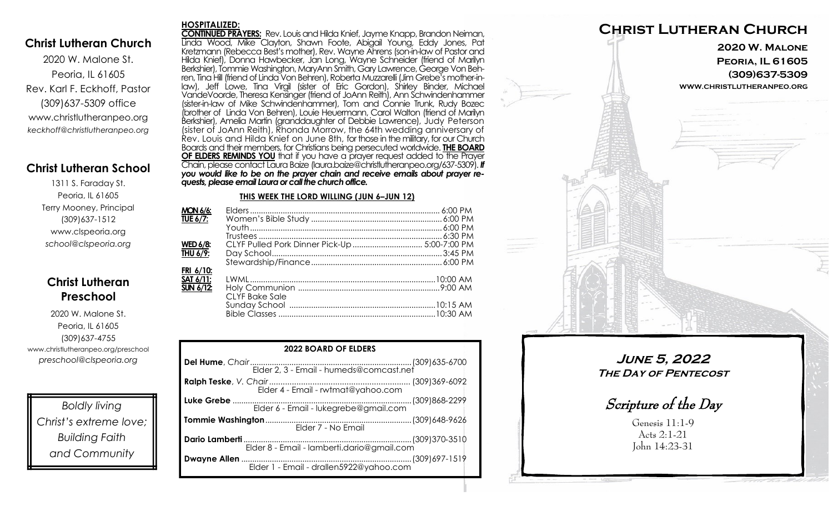## **Christ Lutheran Church**

2020 W. Malone St. Peoria, IL 61605 Rev. Karl F. Eckhoff, Pastor (309)637-5309 office www.christlutheranpeo.org *keckhoff@christlutheranpeo.org*

# **Christ Lutheran School**

1311 S. Faraday St. Peoria, IL 61605 Terry Mooney, Principal (309)637-1512 www.clspeoria.org *school@clspeoria.org*

# **Christ Lutheran Preschool**

2020 W. Malone St. Peoria, IL 61605 (309)637-4755 www.christlutheranpeo.org/preschool *preschool@clspeoria.org*

*Boldly living Christ's extreme love; Building Faith and Community*

### **HOSPITALIZED:**

**CONTINUED PRAYERS:** Rev. Louis and Hilda Knief, Jayme Knapp, Brandon Neiman, Linda Wood, Mike Clayton, Shawn Foote, Abigail Young, Eddy Jones, Pat Kretzmann (Rebecca Best's mother), Rev. Wayne Ahrens (son-in-law of Pastor and Hilda Knief), Donna Hawbecker, Jan Long, Wayne Schneider (friend of Marilyn Berkshier), Tommie Washington, MaryAnn Smith, Gary Lawrence, George Von Behren, Tina Hill (friend of Linda Von Behren), Roberta Muzzarelli (Jim Grebe's mother-inlaw), Jeff Lowe, Tina Virgil (sister of Eric Gordon), Shirley Binder, Michael VandeVoorde, Theresa Kensinger (friend of JoAnn Reith), Ann Schwindenhammer (sister-in-law of Mike Schwindenhammer), Tom and Connie Trunk, Rudy Bozec (brother of Linda Von Behren), Louie Heuermann, Carol Walton (friend of Marilyn Berkshier), Amelia Martin (granddaughter of Debbie Lawrence), Judy Peterson (sister of JoAnn Reith), Rhonda Morrow, the 64th wedding anniversary of Rev. Louis and Hilda Knief on June 8th, for those in the military, for our Church Boards and their members, for Christians being persecuted worldwide. **THE BOARD OF ELDERS REMINDS YOU** that if you have a prayer request added to the Prayer Chain, please contact Laura Baize (laura.baize@christlutheranpeo.org/637-5309). *If you would like to be on the prayer chain and receive emails about prayer requests, please email Laura or call the church office.*

#### **THIS WEEK THE LORD WILLING (JUN 6–JUN 12)**

| <b>MON 6/6:</b>  |                       |  |
|------------------|-----------------------|--|
| TUE 6/7:         |                       |  |
|                  |                       |  |
|                  |                       |  |
| <b>WED 6/8:</b>  |                       |  |
| THU 6/9:         |                       |  |
|                  |                       |  |
| FRI 6/10:        |                       |  |
| <b>SAT 6/11:</b> |                       |  |
| SUN 6/12         |                       |  |
|                  |                       |  |
|                  |                       |  |
|                  |                       |  |
|                  | <b>CLYF Bake Sale</b> |  |

| <b>2022 BOARD OF ELDERS</b>                |  |  |  |
|--------------------------------------------|--|--|--|
|                                            |  |  |  |
| Elder 4 - Email - rwtmat@yahoo.com         |  |  |  |
| Elder 6 - Email - lukegrebe@gmail.com      |  |  |  |
|                                            |  |  |  |
| Elder 8 - Email - lamberti.dario@gmail.com |  |  |  |
|                                            |  |  |  |



**June 5, 2022 The Day of Pentecost**

Scripture of the Day

Genesis 11:1-9 Acts 2:1-21 John 14:23-31